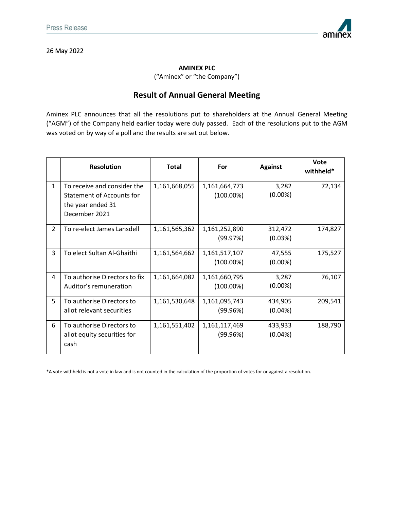26 May 2022



**AMINEX PLC**

("Aminex" or "the Company")

## **Result of Annual General Meeting**

Aminex PLC announces that all the resolutions put to shareholders at the Annual General Meeting ("AGM") of the Company held earlier today were duly passed. Each of the resolutions put to the AGM was voted on by way of a poll and the results are set out below.

|                | <b>Resolution</b>                                                                                     | <b>Total</b>  | For                           | <b>Against</b>        | <b>Vote</b><br>withheld* |
|----------------|-------------------------------------------------------------------------------------------------------|---------------|-------------------------------|-----------------------|--------------------------|
| $\mathbf{1}$   | To receive and consider the<br><b>Statement of Accounts for</b><br>the year ended 31<br>December 2021 | 1,161,668,055 | 1,161,664,773<br>$(100.00\%)$ | 3,282<br>$(0.00\%)$   | 72,134                   |
| $\overline{2}$ | To re-elect James Lansdell                                                                            | 1,161,565,362 | 1,161,252,890<br>(99.97%)     | 312,472<br>(0.03%)    | 174,827                  |
| 3              | To elect Sultan Al-Ghaithi                                                                            | 1,161,564,662 | 1,161,517,107<br>$(100.00\%)$ | 47,555<br>$(0.00\%)$  | 175,527                  |
| 4              | To authorise Directors to fix<br>Auditor's remuneration                                               | 1,161,664,082 | 1,161,660,795<br>$(100.00\%)$ | 3,287<br>$(0.00\%)$   | 76,107                   |
| 5              | To authorise Directors to<br>allot relevant securities                                                | 1,161,530,648 | 1,161,095,743<br>(99.96%)     | 434,905<br>$(0.04\%)$ | 209,541                  |
| 6              | To authorise Directors to<br>allot equity securities for<br>cash                                      | 1,161,551,402 | 1,161,117,469<br>(99.96%)     | 433,933<br>(0.04%)    | 188,790                  |

\*A vote withheld is not a vote in law and is not counted in the calculation of the proportion of votes for or against a resolution.